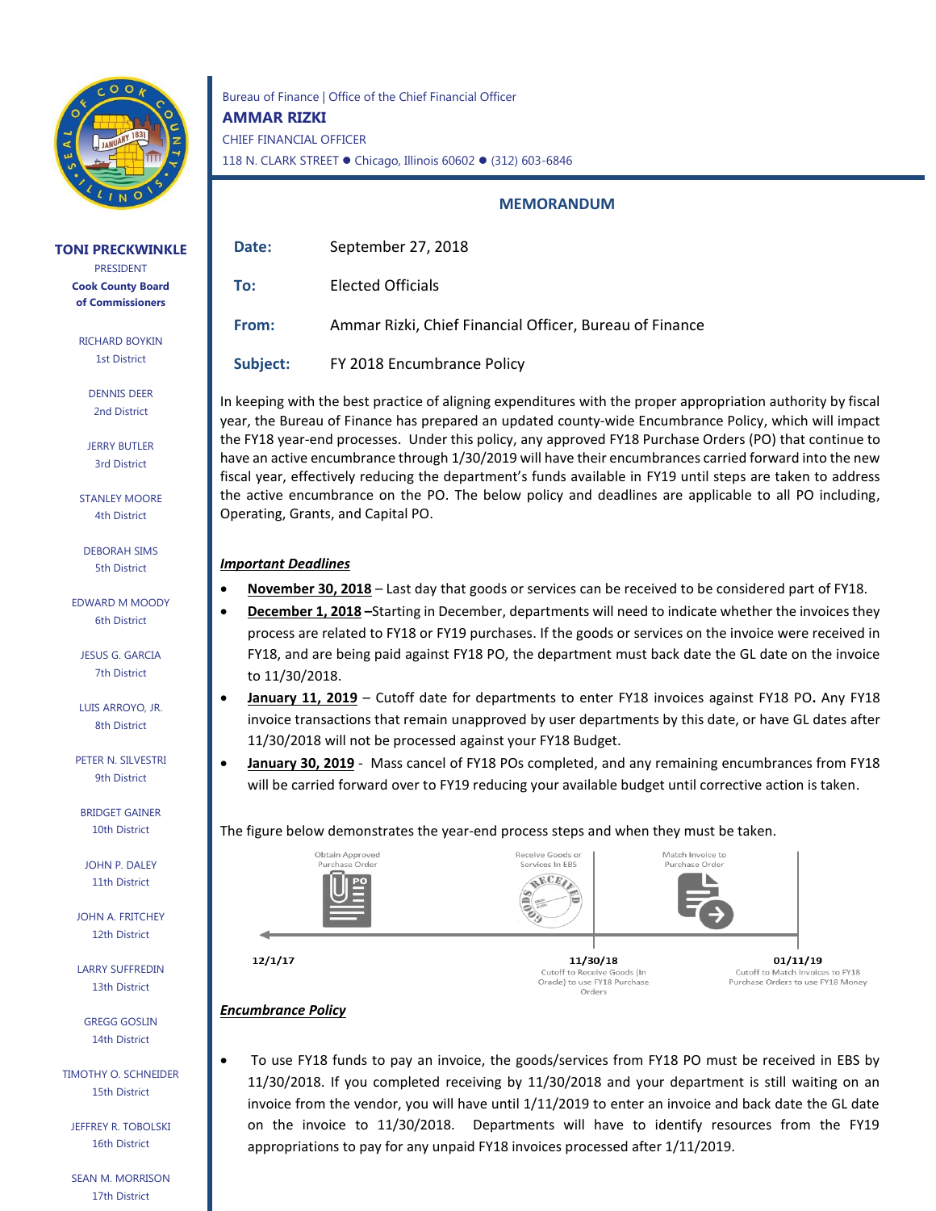

#### **TONI PRECKWINKLE**

PRESIDENT **Cook County Board of Commissioners**

RICHARD BOYKIN 1st District

> DENNIS DEER 2nd District

JERRY BUTLER 3rd District

STANLEY MOORE 4th District

DEBORAH SIMS 5th District

EDWARD M MOODY 6th District

JESUS G. GARCIA 7th District

LUIS ARROYO, JR. 8th District

PETER N. SILVESTRI 9th District

BRIDGET GAINER 10th District

JOHN P. DALEY 11th District

JOHN A. FRITCHEY 12th District

LARRY SUFFREDIN 13th District

GREGG GOSLIN 14th District

TIMOTHY O. SCHNEIDER 15th District

JEFFREY R. TOBOLSKI 16th District

SEAN M. MORRISON 17th District

Bureau of Finance | Office of the Chief Financial Officer **AMMAR RIZKI** CHIEF FINANCIAL OFFICER 118 N. CLARK STREET ● Chicago, Illinois 60602 ● (312) 603-6846

#### **MEMORANDUM**

| Date:    | September 27, 2018                                      |
|----------|---------------------------------------------------------|
| To:      | Elected Officials                                       |
| From:    | Ammar Rizki, Chief Financial Officer, Bureau of Finance |
| Subject: | FY 2018 Encumbrance Policy                              |

In keeping with the best practice of aligning expenditures with the proper appropriation authority by fiscal year, the Bureau of Finance has prepared an updated county-wide Encumbrance Policy, which will impact the FY18 year-end processes. Under this policy, any approved FY18 Purchase Orders (PO) that continue to have an active encumbrance through 1/30/2019 will have their encumbrances carried forward into the new fiscal year, effectively reducing the department's funds available in FY19 until steps are taken to address the active encumbrance on the PO. The below policy and deadlines are applicable to all PO including, Operating, Grants, and Capital PO.

# *Important Deadlines*

- **November 30, 2018** Last day that goods or services can be received to be considered part of FY18.
- **December 1, 2018 –**Starting in December, departments will need to indicate whether the invoices they process are related to FY18 or FY19 purchases. If the goods or services on the invoice were received in FY18, and are being paid against FY18 PO, the department must back date the GL date on the invoice to 11/30/2018.
- **January 11, 2019** Cutoff date for departments to enter FY18 invoices against FY18 PO**.** Any FY18 invoice transactions that remain unapproved by user departments by this date, or have GL dates after 11/30/2018 will not be processed against your FY18 Budget.
- **January 30, 2019** Mass cancel of FY18 POs completed, and any remaining encumbrances from FY18 will be carried forward over to FY19 reducing your available budget until corrective action is taken.

## The figure below demonstrates the year-end process steps and when they must be taken.



Orders

*Encumbrance Policy*

• To use FY18 funds to pay an invoice, the goods/services from FY18 PO must be received in EBS by 11/30/2018. If you completed receiving by 11/30/2018 and your department is still waiting on an invoice from the vendor, you will have until 1/11/2019 to enter an invoice and back date the GL date on the invoice to 11/30/2018. Departments will have to identify resources from the FY19 appropriations to pay for any unpaid FY18 invoices processed after 1/11/2019.